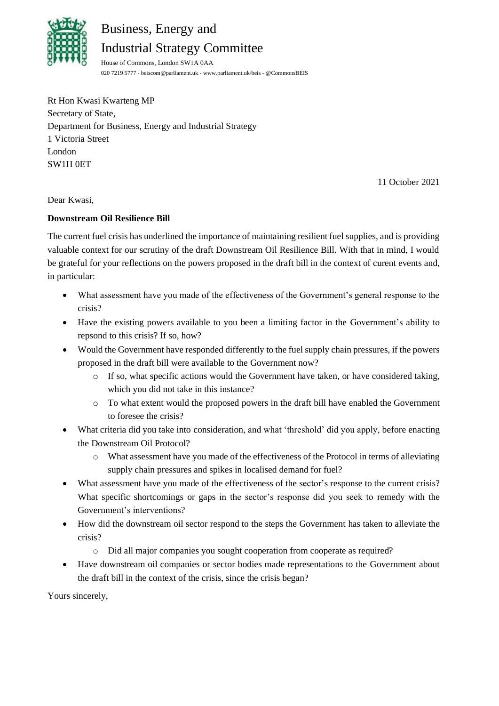

## Business, Energy and

Industrial Strategy Committee

House of Commons, London SW1A 0AA 020 7219 5777 - [beiscom@parliament.uk](file://///hpap03f/DCCS_Rdf$/wrightjo/Desktop/BEIS/Correspondence/beiscom@parliament.uk) - [www.parliament.uk/beis](http://www.parliament.uk/beis) - [@CommonsBEIS](http://www.twitter.com/CommonsBEIS)

Rt Hon Kwasi Kwarteng MP Secretary of State, Department for Business, Energy and Industrial Strategy 1 Victoria Street London SW1H 0ET

11 October 2021

Dear Kwasi,

## **Downstream Oil Resilience Bill**

The current fuel crisis has underlined the importance of maintaining resilient fuel supplies, and is providing valuable context for our scrutiny of the draft Downstream Oil Resilience Bill. With that in mind, I would be grateful for your reflections on the powers proposed in the draft bill in the context of curent events and, in particular:

- What assessment have you made of the effectiveness of the Government's general response to the crisis?
- Have the existing powers available to you been a limiting factor in the Government's ability to repsond to this crisis? If so, how?
- Would the Government have responded differently to the fuel supply chain pressures, if the powers proposed in the draft bill were available to the Government now?
	- o If so, what specific actions would the Government have taken, or have considered taking, which you did not take in this instance?
	- o To what extent would the proposed powers in the draft bill have enabled the Government to foresee the crisis?
- What criteria did you take into consideration, and what 'threshold' did you apply, before enacting the Downstream Oil Protocol?
	- o What assessment have you made of the effectiveness of the Protocol in terms of alleviating supply chain pressures and spikes in localised demand for fuel?
- What assessment have you made of the effectiveness of the sector's response to the current crisis? What specific shortcomings or gaps in the sector's response did you seek to remedy with the Government's interventions?
- How did the downstream oil sector respond to the steps the Government has taken to alleviate the crisis?
	- o Did all major companies you sought cooperation from cooperate as required?
- Have downstream oil companies or sector bodies made representations to the Government about the draft bill in the context of the crisis, since the crisis began?

Yours sincerely,